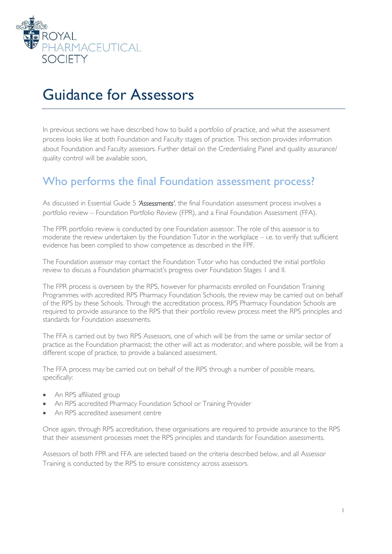

# Guidance for Assessors

In previous sections we have described how to build a portfolio of practice, and what the assessment process looks like at both Foundation and Faculty stages of practice. This section provides information about Foundation and Faculty assessors. Further detail on the Credentialing Panel and quality assurance/ quality control will be available soon.

#### Who performs the final Foundation assessment process?

As discussed in Essential Guide 5 *'Assessments'*, the final Foundation assessment process involves a portfolio review – Foundation Portfolio Review (FPR), and a Final Foundation Assessment (FFA).

The FPR portfolio review is conducted by one Foundation assessor. The role of this assessor is to moderate the review undertaken by the Foundation Tutor in the workplace – i.e. to verify that sufficient evidence has been complied to show competence as described in the FPF.

The Foundation assessor may contact the Foundation Tutor who has conducted the initial portfolio review to discuss a Foundation pharmacist's progress over Foundation Stages 1 and II.

The FPR process is overseen by the RPS, however for pharmacists enrolled on Foundation Training Programmes with accredited RPS Pharmacy Foundation Schools, the review may be carried out on behalf of the RPS by these Schools. Through the accreditation process, RPS Pharmacy Foundation Schools are required to provide assurance to the RPS that their portfolio review process meet the RPS principles and standards for Foundation assessments.

The FFA is carried out by two RPS Assessors, one of which will be from the same or similar sector of practice as the Foundation pharmacist; the other will act as moderator, and where possible, will be from a different scope of practice, to provide a balanced assessment.

The FFA process may be carried out on behalf of the RPS through a number of possible means, specifically:

- An RPS affiliated group
- An RPS accredited Pharmacy Foundation School or Training Provider
- An RPS accredited assessment centre

Once again, through RPS accreditation, these organisations are required to provide assurance to the RPS that their assessment processes meet the RPS principles and standards for Foundation assessments.

Assessors of both FPR and FFA are selected based on the criteria described below, and all Assessor Training is conducted by the RPS to ensure consistency across assessors.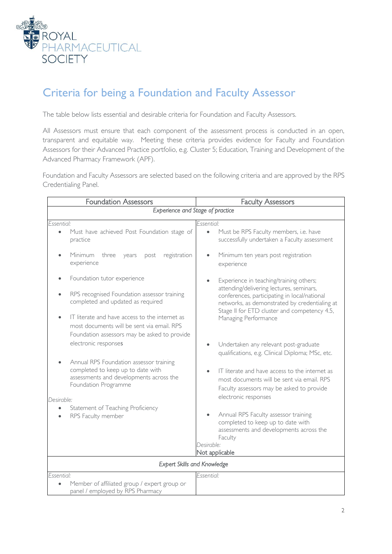

# Criteria for being a Foundation and Faculty Assessor

The table below lists essential and desirable criteria for Foundation and Faculty Assessors.

All Assessors must ensure that each component of the assessment process is conducted in an open, transparent and equitable way. Meeting these criteria provides evidence for Faculty and Foundation Assessors for their Advanced Practice portfolio, e.g. Cluster 5; Education, Training and Development of the Advanced Pharmacy Framework (APF).

Foundation and Faculty Assessors are selected based on the following criteria and are approved by the RPS Credentialing Panel.

| <b>Foundation Assessors</b>                                                                                                                                                                                                                                                             | <b>Faculty Assessors</b>                                                                                                                                                                                                                                                                              |
|-----------------------------------------------------------------------------------------------------------------------------------------------------------------------------------------------------------------------------------------------------------------------------------------|-------------------------------------------------------------------------------------------------------------------------------------------------------------------------------------------------------------------------------------------------------------------------------------------------------|
| Experience and Stage of practice                                                                                                                                                                                                                                                        |                                                                                                                                                                                                                                                                                                       |
| Essential:<br>Must have achieved Post Foundation stage of<br>$\bullet$<br>practice                                                                                                                                                                                                      | Essential:<br>Must be RPS Faculty members, i.e. have<br>$\bullet$<br>successfully undertaken a Faculty assessment                                                                                                                                                                                     |
| <b>Minimum</b><br>three<br>registration<br>years<br>post<br>experience                                                                                                                                                                                                                  | Minimum ten years post registration<br>$\bullet$<br>experience                                                                                                                                                                                                                                        |
| Foundation tutor experience<br>RPS recognised Foundation assessor training<br>completed and updated as required<br>IT literate and have access to the internet as<br>most documents will be sent via email. RPS<br>Foundation assessors may be asked to provide<br>electronic responses | Experience in teaching/training others;<br>attending/delivering lectures, seminars,<br>conferences, participating in local/national<br>networks, as demonstrated by credentialing at<br>Stage II for ETD cluster and competency 4.5,<br>Managing Performance<br>Undertaken any relevant post-graduate |
| Annual RPS Foundation assessor training<br>completed to keep up to date with<br>assessments and developments across the<br>Foundation Programme                                                                                                                                         | qualifications, e.g. Clinical Diploma; MSc, etc.<br>IT literate and have access to the internet as<br>most documents will be sent via email. RPS<br>Faculty assessors may be asked to provide<br>electronic responses                                                                                 |
| Desirable:<br>Statement of Teaching Proficiency<br>RPS Faculty member                                                                                                                                                                                                                   | Annual RPS Faculty assessor training<br>$\bullet$<br>completed to keep up to date with<br>assessments and developments across the<br>Faculty<br>Desirable:<br>Not applicable                                                                                                                          |
| <b>Expert Skills and Knowledge</b>                                                                                                                                                                                                                                                      |                                                                                                                                                                                                                                                                                                       |
| Essential:<br>Member of affiliated group / expert group or<br>panel / employed by RPS Pharmacy                                                                                                                                                                                          | Essential:                                                                                                                                                                                                                                                                                            |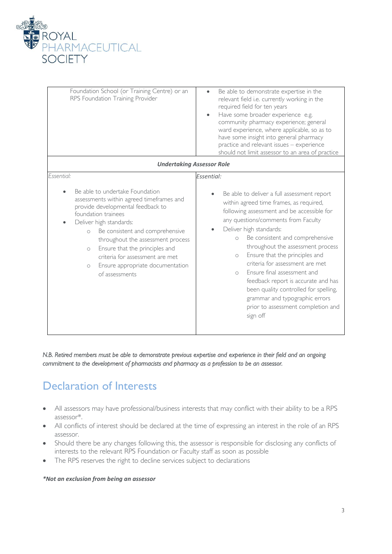

| Foundation School (or Training Centre) or an<br>RPS Foundation Training Provider<br><b>Undertaking Assessor Role</b>                                                                                                                                                                                                                                                                                                 | Be able to demonstrate expertise in the<br>$\bullet$<br>relevant field i.e. currently working in the<br>required field for ten years<br>Have some broader experience e.g.<br>community pharmacy experience; general<br>ward experience, where applicable, so as to<br>have some insight into general pharmacy<br>practice and relevant issues - experience<br>should not limit assessor to an area of practice                                                                                                                                                                                          |
|----------------------------------------------------------------------------------------------------------------------------------------------------------------------------------------------------------------------------------------------------------------------------------------------------------------------------------------------------------------------------------------------------------------------|---------------------------------------------------------------------------------------------------------------------------------------------------------------------------------------------------------------------------------------------------------------------------------------------------------------------------------------------------------------------------------------------------------------------------------------------------------------------------------------------------------------------------------------------------------------------------------------------------------|
| Essential:<br>Be able to undertake Foundation<br>assessments within agreed timeframes and<br>provide developmental feedback to<br>foundation trainees<br>Deliver high standards:<br>Be consistent and comprehensive<br>$\circ$<br>throughout the assessment process<br>Ensure that the principles and<br>$\circ$<br>criteria for assessment are met<br>Ensure appropriate documentation<br>$\circ$<br>of assessments | Essential:<br>Be able to deliver a full assessment report<br>within agreed time frames, as required,<br>following assessment and be accessible for<br>any questions/comments from Faculty<br>Deliver high standards:<br>Be consistent and comprehensive<br>$\circ$<br>throughout the assessment process<br>Ensure that the principles and<br>$\circ$<br>criteria for assessment are met<br>Ensure final assessment and<br>$\bigcap$<br>feedback report is accurate and has<br>been quality controlled for spelling,<br>grammar and typographic errors<br>prior to assessment completion and<br>sign off |

#### *N.B. Retired members must be able to demonstrate previous expertise and experience in their field and an ongoing commitment to the development of pharmacists and pharmacy as a profession to be an assessor.*

### Declaration of Interests

- All assessors may have professional/business interests that may conflict with their ability to be a RPS assessor\*.
- All conflicts of interest should be declared at the time of expressing an interest in the role of an RPS assessor.
- Should there be any changes following this, the assessor is responsible for disclosing any conflicts of interests to the relevant RPS Foundation or Faculty staff as soon as possible
- The RPS reserves the right to decline services subject to declarations

#### *\*Not an exclusion from being an assessor*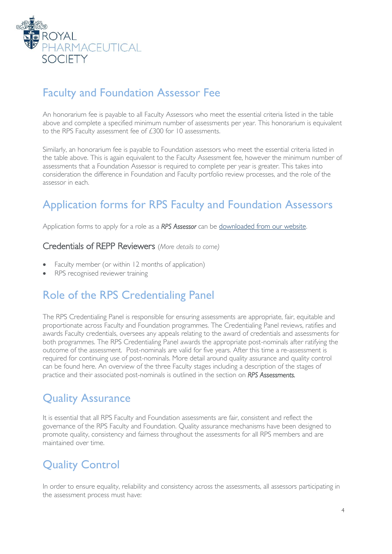

# Faculty and Foundation Assessor Fee

An honorarium fee is payable to all Faculty Assessors who meet the essential criteria listed in the table above and complete a specified minimum number of assessments per year. This honorarium is equivalent to the RPS Faculty assessment fee of £300 for 10 assessments.

Similarly, an honorarium fee is payable to Foundation assessors who meet the essential criteria listed in the table above. This is again equivalent to the Faculty Assessment fee, however the minimum number of assessments that a Foundation Assessor is required to complete per year is greater. This takes into consideration the difference in Foundation and Faculty portfolio review processes, and the role of the assessor in each.

# Application forms for RPS Faculty and Foundation Assessors

Application forms to apply for a role as a *RPS Assessor* can be [downloaded from our website.](http://www.rpharms.com/development-files/assessor-application-form-and-declaration-of-interest.pdf)

Credentials of REPP Reviewers (*More details to come)*

- Faculty member (or within 12 months of application)
- RPS recognised reviewer training

### Role of the RPS Credentialing Panel

The RPS Credentialing Panel is responsible for ensuring assessments are appropriate, fair, equitable and proportionate across Faculty and Foundation programmes. The Credentialing Panel reviews, ratifies and awards Faculty credentials, oversees any appeals relating to the award of credentials and assessments for both programmes. The RPS Credentialing Panel awards the appropriate post-nominals after ratifying the outcome of the assessment. Post-nominals are valid for five years. After this time a re-assessment is required for continuing use of post-nominals. More detail around quality assurance and quality control can be found here. An overview of the three Faculty stages including a description of the stages of practice and their associated post-nominals is outlined in the section on *RPS Assessments.*

### Quality Assurance

It is essential that all RPS Faculty and Foundation assessments are fair, consistent and reflect the governance of the RPS Faculty and Foundation. Quality assurance mechanisms have been designed to promote quality, consistency and fairness throughout the assessments for all RPS members and are maintained over time.

## Quality Control

In order to ensure equality, reliability and consistency across the assessments, all assessors participating in the assessment process must have: